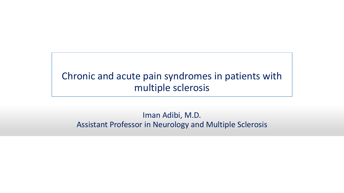#### Chronic and acute pain syndromes in patients with multiple sclerosis

#### Iman Adibi, M.D. Assistant Professor in Neurology and Multiple Sclerosis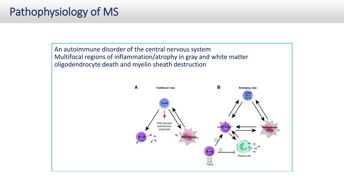# Pathophysiology of MS

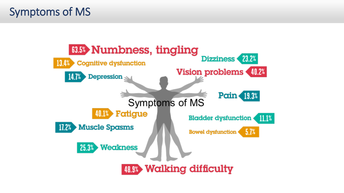# Symptoms of MS

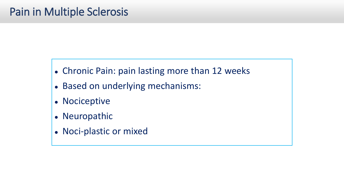- Chronic Pain: pain lasting more than 12 weeks
- Based on underlying mechanisms:
- Nociceptive
- Neuropathic
- Noci-plastic or mixed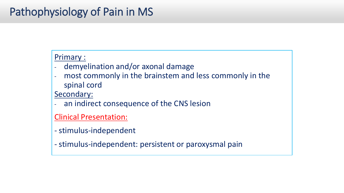# Pathophysiology of Pain in MS

#### Primary :

- demyelination and/or axonal damage
- most commonly in the brainstem and less commonly in the spinal cord

Secondary:

- an indirect consequence of the CNS lesion

Clinical Presentation:

- stimulus-independent
- stimulus-independent: persistent or paroxysmal pain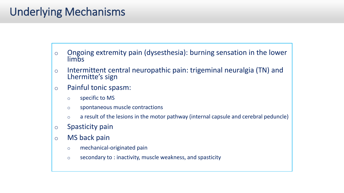# Underlying Mechanisms

- o Ongoing extremity pain (dysesthesia): burning sensation in the lower limbs
- o Intermittent central neuropathic pain: trigeminal neuralgia (TN) and Lhermitte's sign
- o Painful tonic spasm:
	- o specific to MS
	- o spontaneous muscle contractions
	- o a result of the lesions in the motor pathway (internal capsule and cerebral peduncle)
- o Spasticity pain
- o MS back pain
	- o mechanical-originated pain
	- o secondary to : inactivity, muscle weakness, and spasticity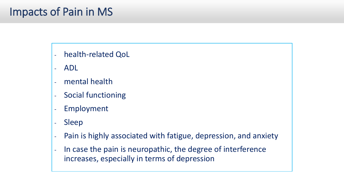# Impacts of Pain in MS

- health-related QoL
- ADL
- mental health
- Social functioning
- Employment
- Sleep
- Pain is highly associated with fatigue, depression, and anxiety
- In case the pain is neuropathic, the degree of interference increases, especially in terms of depression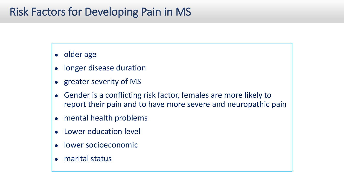# Risk Factors for Developing Pain in MS

- older age
- longer disease duration
- greater severity of MS
- Gender is a conflicting risk factor, females are more likely to report their pain and to have more severe and neuropathic pain
- mental health problems
- Lower education level
- lower socioeconomic
- marital status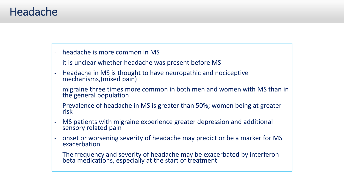### Headache

- headache is more common in MS

- it is unclear whether headache was present before MS
- Headache in MS is thought to have neuropathic and nociceptive mechanisms,(mixed pain)
- migraine three times more common in both men and women with MS than in the general population
- Prevalence of headache in MS is greater than 50%; women being at greater risk
- MS patients with migraine experience greater depression and additional sensory related pain
- onset or worsening severity of headache may predict or be a marker for MS exacerbation
- The frequency and severity of headache may be exacerbated by interferon beta medications, especially at the start of treatment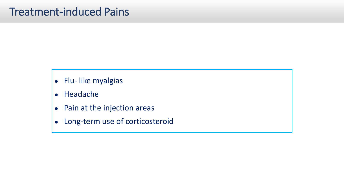- Flu- like myalgias
- Headache
- Pain at the injection areas
- Long-term use of corticosteroid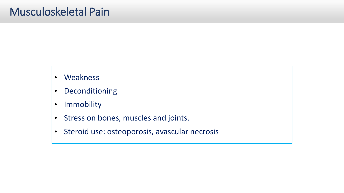- Weakness
- Deconditioning
- Immobility
- Stress on bones, muscles and joints.
- Steroid use: osteoporosis, avascular necrosis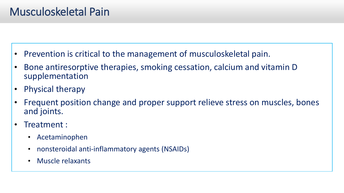# Musculoskeletal Pain

- Prevention is critical to the management of musculoskeletal pain.
- Bone antiresorptive therapies, smoking cessation, calcium and vitamin D supplementation
- Physical therapy
- Frequent position change and proper support relieve stress on muscles, bones and joints.
- Treatment :
	- Acetaminophen
	- nonsteroidal anti-inflammatory agents (NSAIDs)
	- Muscle relaxants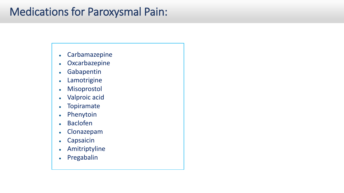# Medications for Paroxysmal Pain:

- Carbamazepine
- Oxcarbazepine
- Gabapentin
- Lamotrigine
- Misoprostol
- Valproic acid
- Topiramate
- Phenytoin
- Baclofen
- Clonazepam
- Capsaicin
- Amitriptyline
- Pregabalin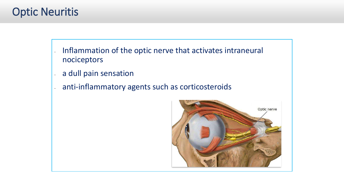# Optic Neuritis

- Inflammation of the optic nerve that activates intraneural nociceptors
- a dull pain sensation
- anti-inflammatory agents such as corticosteroids

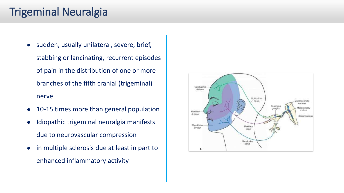# Trigeminal Neuralgia

- sudden, usually unilateral, severe, brief, stabbing or lancinating, recurrent episodes of pain in the distribution of one or more branches of the fifth cranial (trigeminal) nerve
- 10-15 times more than general population
- Idiopathic trigeminal neuralgia manifests due to neurovascular compression
- in multiple sclerosis due at least in part to enhanced inflammatory activity

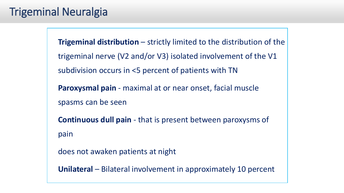# Trigeminal Neuralgia

**Trigeminal distribution** – strictly limited to the distribution of the trigeminal nerve (V2 and/or V3) isolated involvement of the V1 subdivision occurs in <5 percent of patients with TN **Paroxysmal pain** - maximal at or near onset, facial muscle spasms can be seen **Continuous dull pain** - that is present between paroxysms of pain does not awaken patients at night

**Unilateral** – Bilateral involvement in approximately 10 percent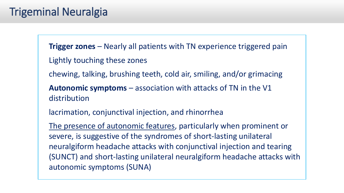# Trigeminal Neuralgia

**Trigger zones** – Nearly all patients with TN experience triggered pain Lightly touching these zones

chewing, talking, brushing teeth, cold air, smiling, and/or grimacing

**Autonomic symptoms** – association with attacks of TN in the V1 distribution

lacrimation, conjunctival injection, and rhinorrhea

The presence of autonomic features, particularly when prominent or severe, is suggestive of the syndromes of short-lasting unilateral neuralgiform headache attacks with conjunctival injection and tearing (SUNCT) and short-lasting unilateral neuralgiform headache attacks with autonomic symptoms (SUNA)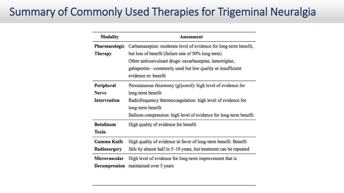# Summary of Commonly Used Therapies for Trigeminal Neuralgia

| <b>Modality</b>           | <b>Assessment</b>                                                                |
|---------------------------|----------------------------------------------------------------------------------|
| Pharmacologic             | Carbamazepine: moderate level of evidence for long-term benefit,                 |
| <b>Therapy</b>            | but loss of benefit (failure rate of 50% long term)                              |
|                           | Other anticonvulsant drugs: oxcarbazepine, lamotrigine,                          |
|                           | gabapentin—commonly used but low quality or insufficient<br>evidence re: benefit |
| Peripheral                | Percutaneous rhizotomy (glycerol): high level of evidence for                    |
| <b>Nerve</b>              | long-term benefit                                                                |
| Intervention              | Radiofrequency thermocoagulation: high level of evidence for                     |
|                           | long-term benefit                                                                |
|                           | Balloon compression: high level of evidence for long-term benefit                |
| <b>Botulinum</b><br>Toxin | High quality of evidence for benefit                                             |
| <b>Gamma Knife</b>        | High quality of evidence in favor of long-term benefit. Benefit                  |
| Radiosurgery              | falls by almost half in 5-10 years, but treatment can be repeated                |
| Microvascular             | High level of evidence for long-term improvement that is                         |
| Decompression             | maintained over 5 years                                                          |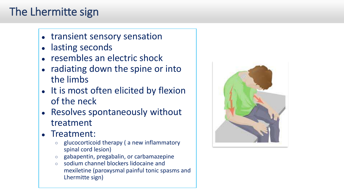# The Lhermitte sign

- transient sensory sensation
- lasting seconds
- resembles an electric shock
- radiating down the spine or into the limbs
- It is most often elicited by flexion of the neck
- Resolves spontaneously without treatment
- Treatment:
	- glucocorticoid therapy ( a new inflammatory spinal cord lesion)
	- gabapentin, pregabalin, or carbamazepine
	- sodium channel blockers lidocaine and mexiletine (paroxysmal painful tonic spasms and Lhermitte sign)

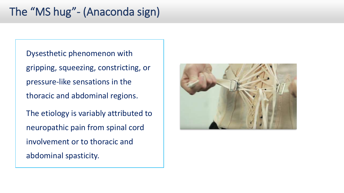# The "MS hug"- (Anaconda sign)

Dysesthetic phenomenon with gripping, squeezing, constricting, or pressure-like sensations in the thoracic and abdominal regions. The etiology is variably attributed to neuropathic pain from spinal cord involvement or to thoracic and

abdominal spasticity.

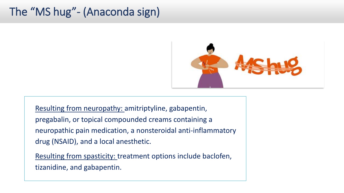# The "MS hug"- (Anaconda sign)



Resulting from neuropathy: amitriptyline, gabapentin, pregabalin, or topical compounded creams containing a neuropathic pain medication, a nonsteroidal anti-inflammatory drug (NSAID), and a local anesthetic.

Resulting from spasticity: treatment options include baclofen, tizanidine, and gabapentin.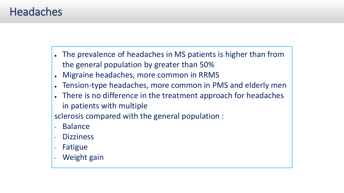### **Headaches**

- The prevalence of headaches in MS patients is higher than from the general population by greater than 50%
- Migraine headaches, more common in RRMS
- Tension-type headaches, more common in PMS and elderly men
- There is no difference in the treatment approach for headaches in patients with multiple

sclerosis compared with the general population :

- Balance
- **Dizziness**
- Fatigue
- Weight gain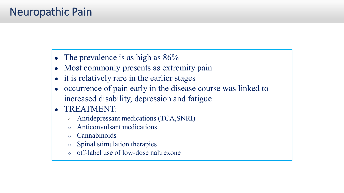# Neuropathic Pain

- The prevalence is as high as  $86\%$
- Most commonly presents as extremity pain
- it is relatively rare in the earlier stages
- occurrence of pain early in the disease course was linked to increased disability, depression and fatigue
- TREATMENT:
	- Antidepressant medications (TCA,SNRI)
	- Anticonvulsant medications
	- **Cannabinoids**
	- Spinal stimulation therapies
	- off-label use of low-dose naltrexone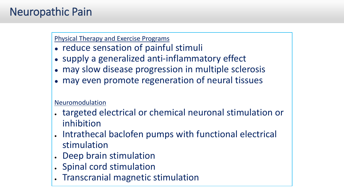# Neuropathic Pain

#### Physical Therapy and Exercise Programs

- reduce sensation of painful stimuli
- supply a generalized anti-inflammatory effect
- may slow disease progression in multiple sclerosis
- may even promote regeneration of neural tissues

#### Neuromodulation

- targeted electrical or chemical neuronal stimulation or inhibition
- Intrathecal baclofen pumps with functional electrical stimulation
- Deep brain stimulation
- Spinal cord stimulation
- Transcranial magnetic stimulation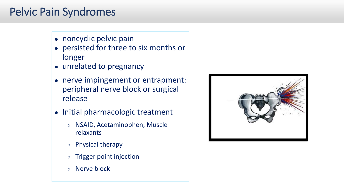# Pelvic Pain Syndromes

- noncyclic pelvic pain
- persisted for three to six months or longer
- unrelated to pregnancy
- nerve impingement or entrapment: peripheral nerve block or surgical release
- Initial pharmacologic treatment
	- NSAID, Acetaminophen, Muscle relaxants
	- Physical therapy
	- Trigger point injection
	- Nerve block

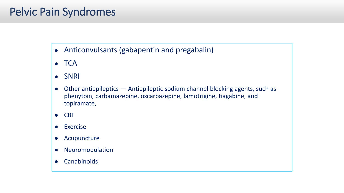# Pelvic Pain Syndromes

- Anticonvulsants (gabapentin and pregabalin)
- TCA
- SNRI
- Other antiepileptics Antiepileptic sodium channel blocking agents, such as phenytoin, carbamazepine, oxcarbazepine, lamotrigine, tiagabine, and topiramate,
- CBT
- Exercise
- Acupuncture
- Neuromodulation
- Canabinoids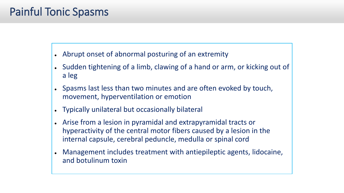# Painful Tonic Spasms

- Abrupt onset of abnormal posturing of an extremity
- Sudden tightening of a limb, clawing of a hand or arm, or kicking out of a leg
- Spasms last less than two minutes and are often evoked by touch, movement, hyperventilation or emotion
- Typically unilateral but occasionally bilateral
- Arise from a lesion in pyramidal and extrapyramidal tracts or hyperactivity of the central motor fibers caused by a lesion in the internal capsule, cerebral peduncle, medulla or spinal cord
- Management includes treatment with antiepileptic agents, lidocaine, and botulinum toxin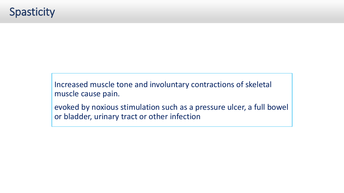Increased muscle tone and involuntary contractions of skeletal muscle cause pain.

evoked by noxious stimulation such as a pressure ulcer, a full bowel or bladder, urinary tract or other infection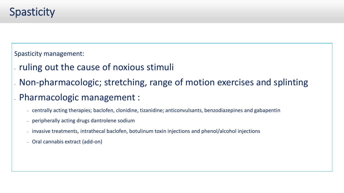# **Spasticity**

Spasticity management:

- ruling out the cause of noxious stimuli
- Non-pharmacologic; stretching, range of motion exercises and splinting
- Pharmacologic management :
	- centrally acting therapies; baclofen, clonidine, tizanidine; anticonvulsants, benzodiazepines and gabapentin
	- peripherally acting drugs dantrolene sodium
	- invasive treatments, intrathecal baclofen, botulinum toxin injections and phenol/alcohol injections
	- Oral cannabis extract (add-on)